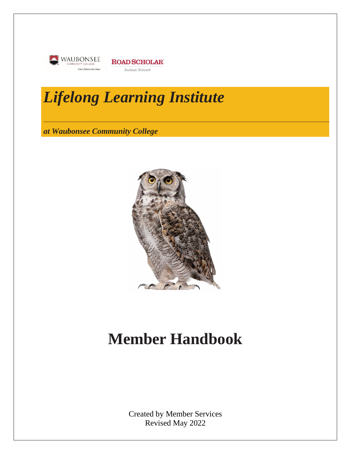



# *Lifelong Learning Institute*

*at Waubonsee Community College*



# **Member Handbook**

Created by Member Services Revised May 2022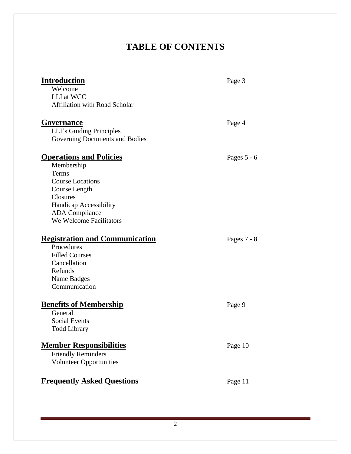# **TABLE OF CONTENTS**

| <b>Introduction</b><br>Welcome<br>LLI at WCC<br><b>Affiliation with Road Scholar</b>                                                                                                               | Page 3        |
|----------------------------------------------------------------------------------------------------------------------------------------------------------------------------------------------------|---------------|
| <b>Governance</b><br>LLI's Guiding Principles<br>Governing Documents and Bodies                                                                                                                    | Page 4        |
| <b>Operations and Policies</b><br>Membership<br>Terms<br><b>Course Locations</b><br>Course Length<br>Closures<br><b>Handicap Accessibility</b><br><b>ADA</b> Compliance<br>We Welcome Facilitators | Pages $5 - 6$ |
| <b>Registration and Communication</b><br>Procedures<br><b>Filled Courses</b><br>Cancellation<br>Refunds<br>Name Badges<br>Communication                                                            | Pages $7 - 8$ |
| <b>Benefits of Membership</b><br>General<br><b>Social Events</b><br><b>Todd Library</b>                                                                                                            | Page 9        |
| <b>Member Responsibilities</b><br><b>Friendly Reminders</b><br><b>Volunteer Opportunities</b>                                                                                                      | Page 10       |
| <b>Frequently Asked Questions</b>                                                                                                                                                                  | Page 11       |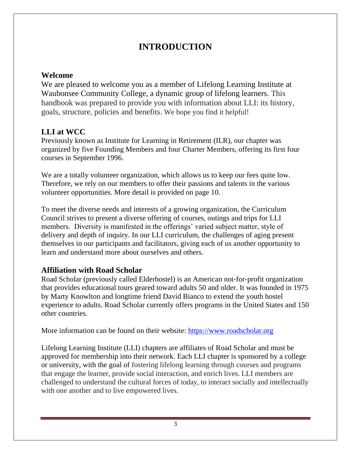# **INTRODUCTION**

## **Welcome**

We are pleased to welcome you as a member of Lifelong Learning Institute at Waubonsee Community College, a dynamic group of lifelong learners. This handbook was prepared to provide you with information about LLI: its history, goals, structure, policies and benefits. We hope you find it helpful!

# **LLI at WCC**

Previously known as Institute for Learning in Retirement (ILR), our chapter was organized by five Founding Members and four Charter Members, offering its first four courses in September 1996.

We are a totally volunteer organization, which allows us to keep our fees quite low. Therefore, we rely on our members to offer their passions and talents in the various volunteer opportunities. More detail is provided on page 10.

To meet the diverse needs and interests of a growing organization, the Curriculum Council strives to present a diverse offering of courses, outings and trips for LLI members. Diversity is manifested in the offerings' varied subject matter, style of delivery and depth of inquiry. In our LLI curriculum, the challenges of aging present themselves in our participants and facilitators, giving each of us another opportunity to learn and understand more about ourselves and others.

# **Affiliation with Road Scholar**

Road Scholar (previously called Elderhostel) is an American not-for-profit organization that provides educational tours geared toward adults 50 and older. It was founded in 1975 by Marty Knowlton and longtime friend David Bianco to extend the youth hostel experience to adults. Road Scholar currently offers programs in the United States and 150 other countries.

More information can be found on their website: [https://www.roadscholar.org](https://www.roadscholar.org/)

Lifelong Learning Institute (LLI) chapters are affiliates of Road Scholar and must be approved for membership into their network. Each LLI chapter is sponsored by a college or university, with the goal of fostering lifelong learning through courses and programs that engage the learner, provide social interaction, and enrich lives. LLI members are challenged to understand the cultural forces of today, to interact socially and intellectually with one another and to live empowered lives.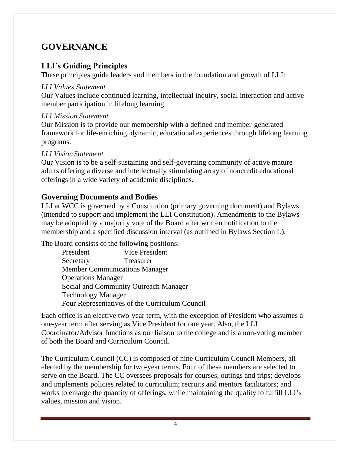# **GOVERNANCE**

## **LLI's Guiding Principles**

These principles guide leaders and members in the foundation and growth of LLI:

#### *LLI Values Statement*

Our Values include continued learning, intellectual inquiry, social interaction and active member participation in lifelong learning.

#### *LLI Mission Statement*

Our Mission is to provide our membership with a defined and member-generated framework for life-enriching, dynamic, educational experiences through lifelong learning programs.

#### *LLI Vision Statement*

Our Vision is to be a self-sustaining and self-governing community of active mature adults offering a diverse and intellectually stimulating array of noncredit educational offerings in a wide variety of academic disciplines.

#### **Governing Documents and Bodies**

LLI at WCC is governed by a Constitution (primary governing document) and Bylaws (intended to support and implement the LLI Constitution). Amendments to the Bylaws may be adopted by a majority vote of the Board after written notification to the membership and a specified discussion interval (as outlined in Bylaws Section L).

The Board consists of the following positions:

| President                 | Vice President                                 |
|---------------------------|------------------------------------------------|
| Secretary                 | <b>Treasurer</b>                               |
|                           | <b>Member Communications Manager</b>           |
| <b>Operations Manager</b> |                                                |
|                           | Social and Community Outreach Manager          |
| <b>Technology Manager</b> |                                                |
|                           | Four Representatives of the Curriculum Council |

Each office is an elective two-year term, with the exception of President who assumes a one-year term after serving as Vice President for one year. Also, the LLI Coordinator/Advisor functions as our liaison to the college and is a non-voting member of both the Board and Curriculum Council.

The Curriculum Council (CC) is composed of nine Curriculum Council Members, all elected by the membership for two-year terms. Four of these members are selected to serve on the Board. The CC oversees proposals for courses, outings and trips; develops and implements policies related to curriculum; recruits and mentors facilitators; and works to enlarge the quantity of offerings, while maintaining the quality to fulfill LLI's values, mission and vision.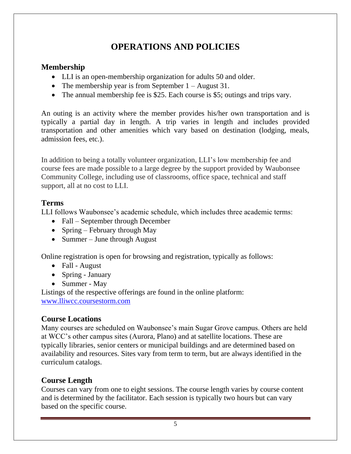# **OPERATIONS AND POLICIES**

## **Membership**

- LLI is an open-membership organization for adults 50 and older.
- The membership year is from September 1 August 31.
- The annual membership fee is \$25. Each course is \$5; outings and trips vary.

An outing is an activity where the member provides his/her own transportation and is typically a partial day in length. A trip varies in length and includes provided transportation and other amenities which vary based on destination (lodging, meals, admission fees, etc.).

In addition to being a totally volunteer organization, LLI's low membership fee and course fees are made possible to a large degree by the support provided by Waubonsee Community College, including use of classrooms, office space, technical and staff support, all at no cost to LLI.

### **Terms**

LLI follows Waubonsee's academic schedule, which includes three academic terms:

- Fall September through December
- Spring February through May
- Summer June through August

Online registration is open for browsing and registration, typically as follows:

- Fall August
- Spring January
- Summer May

Listings of the respective offerings are found in the online platform: [www.lliwcc.coursestorm.com](http://www.lliwcc.coursestorm.com/)

# **Course Locations**

Many courses are scheduled on Waubonsee's main Sugar Grove campus. Others are held at WCC's other campus sites (Aurora, Plano) and at satellite locations. These are typically libraries, senior centers or municipal buildings and are determined based on availability and resources. Sites vary from term to term, but are always identified in the curriculum catalogs.

# **Course Length**

Courses can vary from one to eight sessions. The course length varies by course content and is determined by the facilitator. Each session is typically two hours but can vary based on the specific course.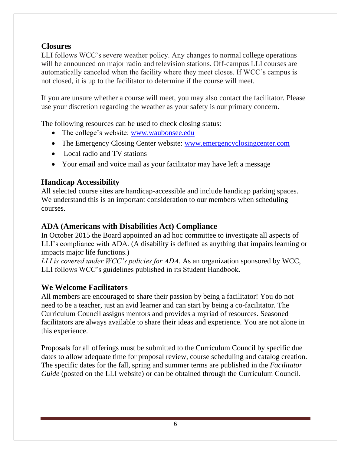# **Closures**

LLI follows WCC's severe weather policy. Any changes to normal college operations will be announced on major radio and television stations. Off-campus LLI courses are automatically canceled when the facility where they meet closes. If WCC's campus is not closed, it is up to the facilitator to determine if the course will meet.

If you are unsure whether a course will meet, you may also contact the facilitator. Please use your discretion regarding the weather as your safety is our primary concern.

The following resources can be used to check closing status:

- The college's website: [www.waubonsee.edu](http://www.waubonsee.edu/)
- The Emergency Closing Center website: [www.emergencyclosingcenter.com](http://www.emergencyclosingcenter.com/)
- Local radio and TV stations
- Your email and voice mail as your facilitator may have left a message

### **Handicap Accessibility**

All selected course sites are handicap-accessible and include handicap parking spaces. We understand this is an important consideration to our members when scheduling courses.

## **ADA (Americans with Disabilities Act) Compliance**

In October 2015 the Board appointed an ad hoc committee to investigate all aspects of LLI's compliance with ADA. (A disability is defined as anything that impairs learning or impacts major life functions.)

*LLI is covered under WCC's policies for ADA*. As an organization sponsored by WCC, LLI follows WCC's guidelines published in its Student Handbook.

### **We Welcome Facilitators**

All members are encouraged to share their passion by being a facilitator! You do not need to be a teacher, just an avid learner and can start by being a co-facilitator. The Curriculum Council assigns mentors and provides a myriad of resources. Seasoned facilitators are always available to share their ideas and experience. You are not alone in this experience.

Proposals for all offerings must be submitted to the Curriculum Council by specific due dates to allow adequate time for proposal review, course scheduling and catalog creation. The specific dates for the fall, spring and summer terms are published in the *Facilitator Guide* (posted on the LLI website) or can be obtained through the Curriculum Council.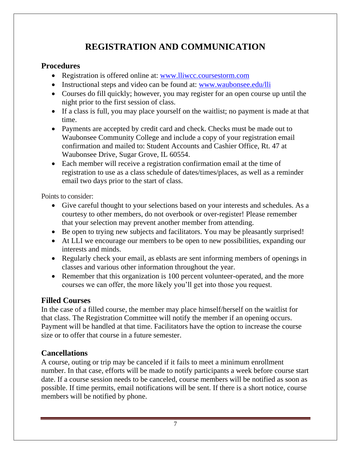# **REGISTRATION AND COMMUNICATION**

#### **Procedures**

- Registration is offered online at: [www.lliwcc.coursestorm.com](http://www.lliwcc.coursestorm.com/)
- Instructional steps and video can be found at: [www.waubonsee.edu/lli](http://www.waubonsee.edu/lli)
- Courses do fill quickly; however, you may register for an open course up until the night prior to the first session of class.
- If a class is full, you may place yourself on the waitlist; no payment is made at that time.
- Payments are accepted by credit card and check. Checks must be made out to Waubonsee Community College and include a copy of your registration email confirmation and mailed to: Student Accounts and Cashier Office, Rt. 47 at Waubonsee Drive, Sugar Grove, IL 60554.
- Each member will receive a registration confirmation email at the time of registration to use as a class schedule of dates/times/places, as well as a reminder email two days prior to the start of class.

Points to consider:

- Give careful thought to your selections based on your interests and schedules. As a courtesy to other members, do not overbook or over-register! Please remember that your selection may prevent another member from attending.
- Be open to trying new subjects and facilitators. You may be pleasantly surprised!
- At LLI we encourage our members to be open to new possibilities, expanding our interests and minds.
- Regularly check your email, as eblasts are sent informing members of openings in classes and various other information throughout the year.
- Remember that this organization is 100 percent volunteer-operated, and the more courses we can offer, the more likely you'll get into those you request.

# **Filled Courses**

In the case of a filled course, the member may place himself/herself on the waitlist for that class. The Registration Committee will notify the member if an opening occurs. Payment will be handled at that time. Facilitators have the option to increase the course size or to offer that course in a future semester.

### **Cancellations**

A course, outing or trip may be canceled if it fails to meet a minimum enrollment number. In that case, efforts will be made to notify participants a week before course start date. If a course session needs to be canceled, course members will be notified as soon as possible. If time permits, email notifications will be sent. If there is a short notice, course members will be notified by phone.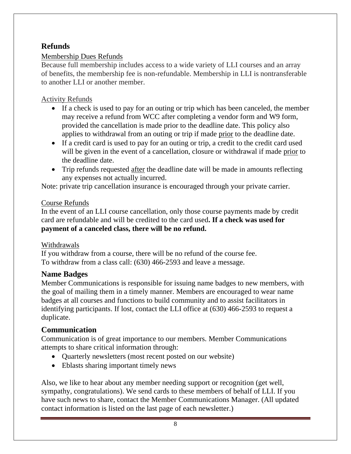## **Refunds**

### Membership Dues Refunds

Because full membership includes access to a wide variety of LLI courses and an array of benefits, the membership fee is non-refundable. Membership in LLI is nontransferable to another LLI or another member.

## Activity Refunds

- If a check is used to pay for an outing or trip which has been canceled, the member may receive a refund from WCC after completing a vendor form and W9 form, provided the cancellation is made prior to the deadline date. This policy also applies to withdrawal from an outing or trip if made prior to the deadline date.
- If a credit card is used to pay for an outing or trip, a credit to the credit card used will be given in the event of a cancellation, closure or withdrawal if made prior to the deadline date.
- Trip refunds requested after the deadline date will be made in amounts reflecting any expenses not actually incurred.

Note: private trip cancellation insurance is encouraged through your private carrier.

### Course Refunds

In the event of an LLI course cancellation, only those course payments made by credit card are refundable and will be credited to the card used**. If a check was used for payment of a canceled class, there will be no refund.**

### Withdrawals

If you withdraw from a course, there will be no refund of the course fee. To withdraw from a class call: (630) 466-2593 and leave a message.

### **Name Badges**

Member Communications is responsible for issuing name badges to new members, with the goal of mailing them in a timely manner. Members are encouraged to wear name badges at all courses and functions to build community and to assist facilitators in identifying participants. If lost, contact the LLI office at (630) 466-2593 to request a duplicate.

# **Communication**

Communication is of great importance to our members. Member Communications attempts to share critical information through:

- Quarterly newsletters (most recent posted on our website)
- Eblasts sharing important timely news

Also, we like to hear about any member needing support or recognition (get well, sympathy, congratulations). We send cards to these members of behalf of LLI. If you have such news to share, contact the Member Communications Manager. (All updated contact information is listed on the last page of each newsletter.)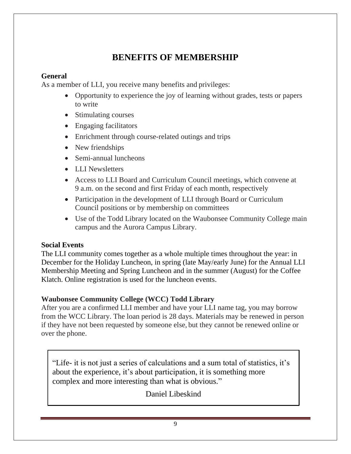# **BENEFITS OF MEMBERSHIP**

#### **General**

As a member of LLI, you receive many benefits and privileges:

- Opportunity to experience the joy of learning without grades, tests or papers to write
- Stimulating courses
- Engaging facilitators
- Enrichment through course-related outings and trips
- New friendships
- Semi-annual luncheons
- LLI Newsletters
- Access to LLI Board and Curriculum Council meetings, which convene at 9 a.m. on the second and first Friday of each month, respectively
- Participation in the development of LLI through Board or Curriculum Council positions or by membership on committees
- Use of the Todd Library located on the Waubonsee Community College main campus and the Aurora Campus Library.

#### **Social Events**

The LLI community comes together as a whole multiple times throughout the year: in December for the Holiday Luncheon, in spring (late May/early June) for the Annual LLI Membership Meeting and Spring Luncheon and in the summer (August) for the Coffee Klatch. Online registration is used for the luncheon events.

### **Waubonsee Community College (WCC) Todd Library**

After you are a confirmed LLI member and have your LLI name tag, you may borrow from the WCC Library. The loan period is 28 days. Materials may be renewed in person if they have not been requested by someone else, but they cannot be renewed online or over the phone.

"Life- it is not just a series of calculations and a sum total of statistics, it's about the experience, it's about participation, it is something more complex and more interesting than what is obvious."

Daniel Libeskind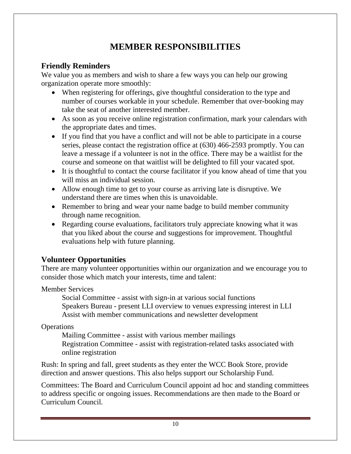# **MEMBER RESPONSIBILITIES**

# **Friendly Reminders**

We value you as members and wish to share a few ways you can help our growing organization operate more smoothly:

- When registering for offerings, give thoughtful consideration to the type and number of courses workable in your schedule. Remember that over-booking may take the seat of another interested member.
- As soon as you receive online registration confirmation, mark your calendars with the appropriate dates and times.
- If you find that you have a conflict and will not be able to participate in a course series, please contact the registration office at (630) 466-2593 promptly. You can leave a message if a volunteer is not in the office. There may be a waitlist for the course and someone on that waitlist will be delighted to fill your vacated spot.
- It is thoughtful to contact the course facilitator if you know ahead of time that you will miss an individual session.
- Allow enough time to get to your course as arriving late is disruptive. We understand there are times when this is unavoidable.
- Remember to bring and wear your name badge to build member community through name recognition.
- Regarding course evaluations, facilitators truly appreciate knowing what it was that you liked about the course and suggestions for improvement. Thoughtful evaluations help with future planning.

# **Volunteer Opportunities**

There are many volunteer opportunities within our organization and we encourage you to consider those which match your interests, time and talent:

Member Services

Social Committee - assist with sign-in at various social functions Speakers Bureau - present LLI overview to venues expressing interest in LLI Assist with member communications and newsletter development

**Operations** 

Mailing Committee - assist with various member mailings Registration Committee - assist with registration-related tasks associated with online registration

Rush: In spring and fall, greet students as they enter the WCC Book Store, provide direction and answer questions. This also helps support our Scholarship Fund.

Committees: The Board and Curriculum Council appoint ad hoc and standing committees to address specific or ongoing issues. Recommendations are then made to the Board or Curriculum Council.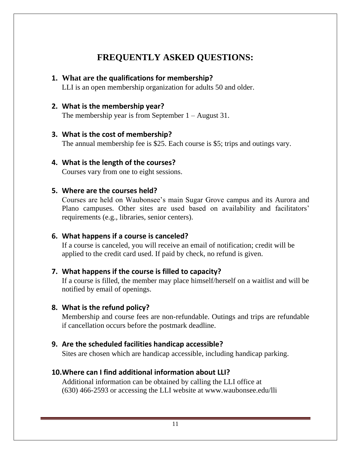# **FREQUENTLY ASKED QUESTIONS:**

#### **1. What are the qualifications for membership?**

LLI is an open membership organization for adults 50 and older.

#### **2. What is the membership year?**

The membership year is from September  $1 -$ August 31.

#### **3. What is the cost of membership?**

The annual membership fee is \$25. Each course is \$5; trips and outings vary.

#### **4. What is the length of the courses?**

Courses vary from one to eight sessions.

#### **5. Where are the courses held?**

Courses are held on Waubonsee's main Sugar Grove campus and its Aurora and Plano campuses. Other sites are used based on availability and facilitators' requirements (e.g., libraries, senior centers).

#### **6. What happens if a course is canceled?**

If a course is canceled, you will receive an email of notification; credit will be applied to the credit card used. If paid by check, no refund is given.

#### **7. What happens if the course is filled to capacity?**

If a course is filled, the member may place himself/herself on a waitlist and will be notified by email of openings.

#### **8. What is the refund policy?**

Membership and course fees are non-refundable. Outings and trips are refundable if cancellation occurs before the postmark deadline.

#### **9. Are the scheduled facilities handicap accessible?**

Sites are chosen which are handicap accessible, including handicap parking.

#### **10.Where can I find additional information about LLI?**

Additional information can be obtained by calling the LLI office at (630) 466-2593 or accessing the LLI website at www.waubonsee.edu/lli